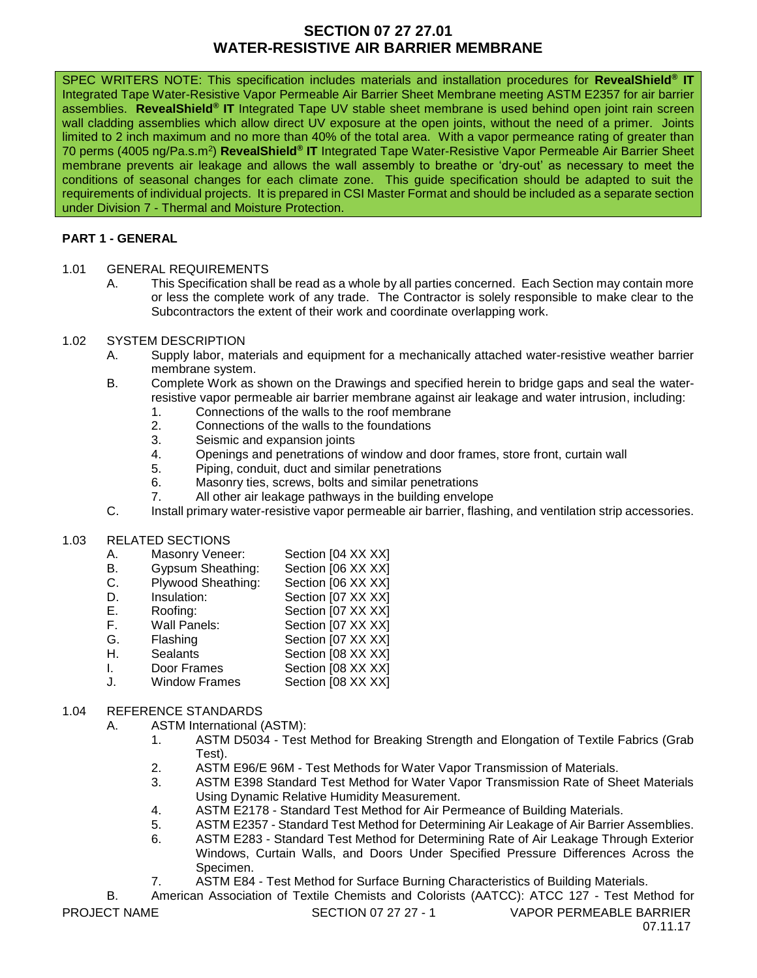# **SECTION 07 27 27.01 WATER-RESISTIVE AIR BARRIER MEMBRANE**

SPEC WRITERS NOTE: This specification includes materials and installation procedures for **RevealShield® IT** Integrated Tape Water-Resistive Vapor Permeable Air Barrier Sheet Membrane meeting ASTM E2357 for air barrier assemblies. **RevealShield® IT** Integrated Tape UV stable sheet membrane is used behind open joint rain screen wall cladding assemblies which allow direct UV exposure at the open joints, without the need of a primer. Joints limited to 2 inch maximum and no more than 40% of the total area. With a vapor permeance rating of greater than 70 perms (4005 ng/Pa.s.m<sup>2</sup> ) **RevealShield® IT** Integrated Tape Water-Resistive Vapor Permeable Air Barrier Sheet membrane prevents air leakage and allows the wall assembly to breathe or 'dry-out' as necessary to meet the conditions of seasonal changes for each climate zone. This guide specification should be adapted to suit the requirements of individual projects. It is prepared in CSI Master Format and should be included as a separate section under Division 7 - Thermal and Moisture Protection.

## **PART 1 - GENERAL**

#### 1.01 GENERAL REQUIREMENTS

A. This Specification shall be read as a whole by all parties concerned. Each Section may contain more or less the complete work of any trade. The Contractor is solely responsible to make clear to the Subcontractors the extent of their work and coordinate overlapping work.

#### 1.02 SYSTEM DESCRIPTION

- A. Supply labor, materials and equipment for a mechanically attached water-resistive weather barrier membrane system.
- B. Complete Work as shown on the Drawings and specified herein to bridge gaps and seal the waterresistive vapor permeable air barrier membrane against air leakage and water intrusion, including:
	- 1. Connections of the walls to the roof membrane
	- 2. Connections of the walls to the foundations
	- 3. Seismic and expansion joints
	- 4. Openings and penetrations of window and door frames, store front, curtain wall
	- 5. Piping, conduit, duct and similar penetrations
	- 6. Masonry ties, screws, bolts and similar penetrations
	- 7. All other air leakage pathways in the building envelope
- C. Install primary water-resistive vapor permeable air barrier, flashing, and ventilation strip accessories.

#### 1.03 RELATED SECTIONS

- A. Masonry Veneer: Section [04 XX XX] B. Gypsum Sheathing: Section [06 XX XX]
- C. Plywood Sheathing: Section [06 XX XX]
- D. Insulation: Section [07 XX XX]
- 
- E. Roofing: Section [07 XX XX]<br>F. Wall Panels: Section [07 XX XX] F. Wall Panels: Section [07 XX XX]
- G. Flashing Section [07 XX XX]
- H. Sealants Section [08 XX XX]
- I. Door Frames Section [08 XX XX]
- J. Window Frames Section [08 XX XX]

### 1.04 REFERENCE STANDARDS

- A. ASTM International (ASTM):
	- 1. ASTM D5034 Test Method for Breaking Strength and Elongation of Textile Fabrics (Grab Test).
	- 2. ASTM E96/E 96M Test Methods for Water Vapor Transmission of Materials.
	- 3. ASTM E398 Standard Test Method for Water Vapor Transmission Rate of Sheet Materials Using Dynamic Relative Humidity Measurement.
	- 4. ASTM E2178 Standard Test Method for Air Permeance of Building Materials.
	- 5. ASTM E2357 Standard Test Method for Determining Air Leakage of Air Barrier Assemblies.
	- 6. ASTM E283 Standard Test Method for Determining Rate of Air Leakage Through Exterior Windows, Curtain Walls, and Doors Under Specified Pressure Differences Across the Specimen.
	- 7. ASTM E84 Test Method for Surface Burning Characteristics of Building Materials.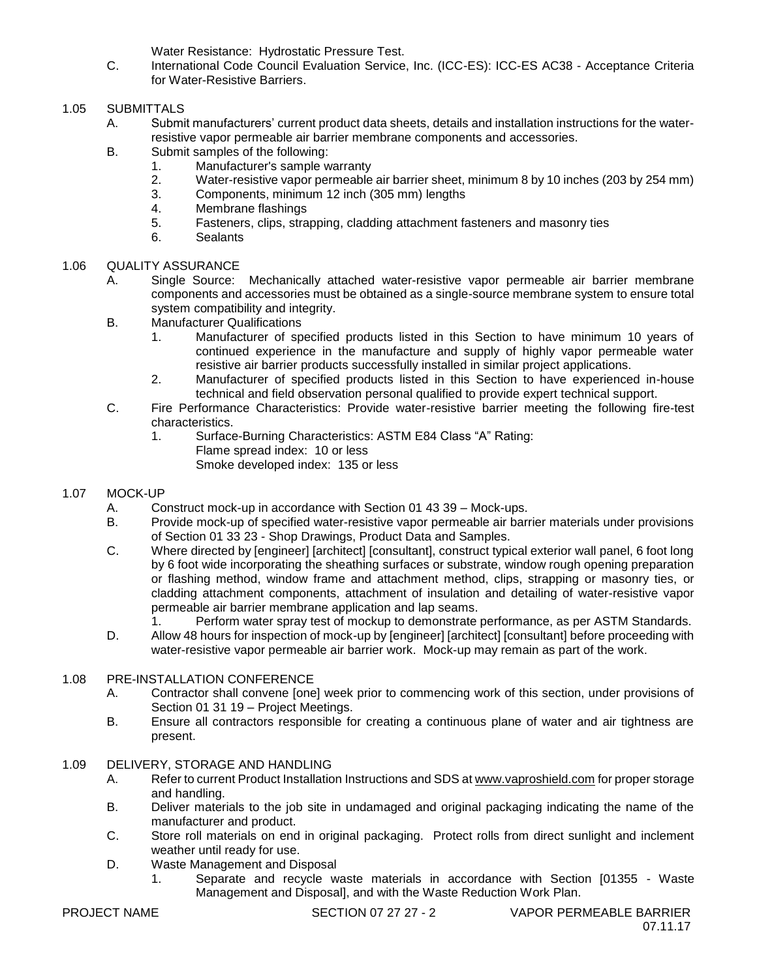Water Resistance: Hydrostatic Pressure Test.

C. International Code Council Evaluation Service, Inc. (ICC-ES): ICC-ES AC38 - Acceptance Criteria for Water-Resistive Barriers.

## 1.05 SUBMITTALS

- A. Submit manufacturers' current product data sheets, details and installation instructions for the waterresistive vapor permeable air barrier membrane components and accessories.
- B. Submit samples of the following:
	- 1. Manufacturer's sample warranty
	- 2. Water-resistive vapor permeable air barrier sheet, minimum 8 by 10 inches (203 by 254 mm)
	- 3. Components, minimum 12 inch (305 mm) lengths
	- 4. Membrane flashings
	- 5. Fasteners, clips, strapping, cladding attachment fasteners and masonry ties
	- 6. Sealants

### 1.06 QUALITY ASSURANCE

- A. Single Source: Mechanically attached water-resistive vapor permeable air barrier membrane components and accessories must be obtained as a single-source membrane system to ensure total system compatibility and integrity.
- B. Manufacturer Qualifications
	- 1. Manufacturer of specified products listed in this Section to have minimum 10 years of continued experience in the manufacture and supply of highly vapor permeable water resistive air barrier products successfully installed in similar project applications.
	- 2. Manufacturer of specified products listed in this Section to have experienced in-house technical and field observation personal qualified to provide expert technical support.
- C. Fire Performance Characteristics: Provide water-resistive barrier meeting the following fire-test characteristics.
	- 1. Surface-Burning Characteristics: ASTM E84 Class "A" Rating: Flame spread index: 10 or less
		- Smoke developed index: 135 or less

## 1.07 MOCK-UP

- A. Construct mock-up in accordance with Section 01 43 39 Mock-ups.
- B. Provide mock-up of specified water-resistive vapor permeable air barrier materials under provisions of Section 01 33 23 - Shop Drawings, Product Data and Samples.
- C. Where directed by [engineer] [architect] [consultant], construct typical exterior wall panel, 6 foot long by 6 foot wide incorporating the sheathing surfaces or substrate, window rough opening preparation or flashing method, window frame and attachment method, clips, strapping or masonry ties, or cladding attachment components, attachment of insulation and detailing of water-resistive vapor permeable air barrier membrane application and lap seams.
	- 1. Perform water spray test of mockup to demonstrate performance, as per ASTM Standards.
- D. Allow 48 hours for inspection of mock-up by [engineer] [architect] [consultant] before proceeding with water-resistive vapor permeable air barrier work. Mock-up may remain as part of the work.

### 1.08 PRE-INSTALLATION CONFERENCE

- A. Contractor shall convene [one] week prior to commencing work of this section, under provisions of Section 01 31 19 – Project Meetings.
- B. Ensure all contractors responsible for creating a continuous plane of water and air tightness are present.

### 1.09 DELIVERY, STORAGE AND HANDLING

- A. Refer to current Product Installation Instructions and SDS a[t www.vaproshield.com](http://www.vaproshield.com/) for proper storage and handling.
- B. Deliver materials to the job site in undamaged and original packaging indicating the name of the manufacturer and product.
- C. Store roll materials on end in original packaging. Protect rolls from direct sunlight and inclement weather until ready for use.
- D. Waste Management and Disposal
	- 1. Separate and recycle waste materials in accordance with Section [01355 Waste Management and Disposal], and with the Waste Reduction Work Plan.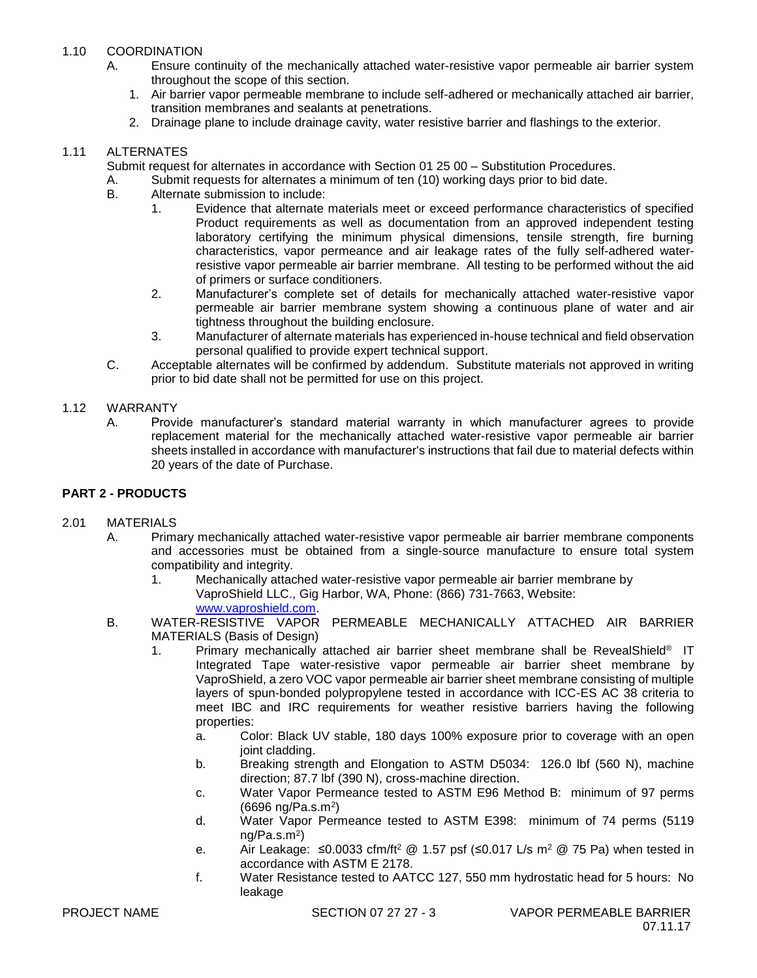#### 1.10 COORDINATION

- A. Ensure continuity of the mechanically attached water-resistive vapor permeable air barrier system throughout the scope of this section.
	- 1. Air barrier vapor permeable membrane to include self-adhered or mechanically attached air barrier, transition membranes and sealants at penetrations.
	- 2. Drainage plane to include drainage cavity, water resistive barrier and flashings to the exterior.

#### 1.11 ALTERNATES

Submit request for alternates in accordance with Section 01 25 00 – Substitution Procedures.

- A. Submit requests for alternates a minimum of ten (10) working days prior to bid date.
- B. Alternate submission to include:
	- 1. Evidence that alternate materials meet or exceed performance characteristics of specified Product requirements as well as documentation from an approved independent testing laboratory certifying the minimum physical dimensions, tensile strength, fire burning characteristics, vapor permeance and air leakage rates of the fully self-adhered waterresistive vapor permeable air barrier membrane. All testing to be performed without the aid of primers or surface conditioners.
	- 2. Manufacturer's complete set of details for mechanically attached water-resistive vapor permeable air barrier membrane system showing a continuous plane of water and air tightness throughout the building enclosure.
	- 3. Manufacturer of alternate materials has experienced in-house technical and field observation personal qualified to provide expert technical support.
- C. Acceptable alternates will be confirmed by addendum. Substitute materials not approved in writing prior to bid date shall not be permitted for use on this project.
- 1.12 WARRANTY
	- A. Provide manufacturer's standard material warranty in which manufacturer agrees to provide replacement material for the mechanically attached water-resistive vapor permeable air barrier sheets installed in accordance with manufacturer's instructions that fail due to material defects within 20 years of the date of Purchase.

### **PART 2 - PRODUCTS**

- 2.01 MATERIALS
	- A. Primary mechanically attached water-resistive vapor permeable air barrier membrane components and accessories must be obtained from a single-source manufacture to ensure total system compatibility and integrity.
		- 1. Mechanically attached water-resistive vapor permeable air barrier membrane by VaproShield LLC., Gig Harbor, WA, Phone: (866) 731-7663, Website: [www.vaproshield.com.](http://www.vaproshield.com/)
	- B. WATER-RESISTIVE VAPOR PERMEABLE MECHANICALLY ATTACHED AIR BARRIER MATERIALS (Basis of Design)
		- 1. Primary mechanically attached air barrier sheet membrane shall be RevealShield<sup>®</sup> IT Integrated Tape water-resistive vapor permeable air barrier sheet membrane by VaproShield, a zero VOC vapor permeable air barrier sheet membrane consisting of multiple layers of spun-bonded polypropylene tested in accordance with ICC-ES AC 38 criteria to meet IBC and IRC requirements for weather resistive barriers having the following properties:
			- a. Color: Black UV stable, 180 days 100% exposure prior to coverage with an open joint cladding.
			- b. Breaking strength and Elongation to ASTM D5034: 126.0 lbf (560 N), machine direction; 87.7 lbf (390 N), cross-machine direction.
			- c. Water Vapor Permeance tested to ASTM E96 Method B: minimum of 97 perms (6696 ng/Pa.s.m<sup>2</sup> )
			- d. Water Vapor Permeance tested to ASTM E398: minimum of 74 perms (5119 ng/Pa.s.m<sup>2</sup> )
			- e. Air Leakage: ≤0.0033 cfm/ft<sup>2</sup> @ 1.57 psf (≤0.017 L/s m<sup>2</sup> @ 75 Pa) when tested in accordance with ASTM E 2178.
			- f. Water Resistance tested to AATCC 127, 550 mm hydrostatic head for 5 hours: No leakage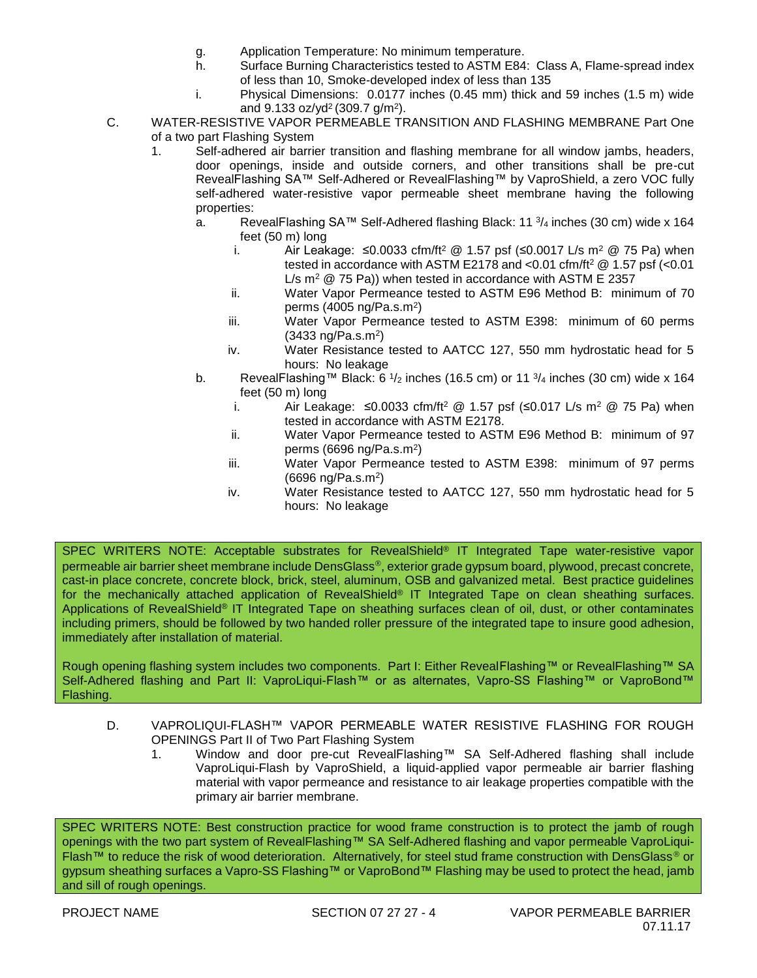- g. Application Temperature: No minimum temperature.
- h. Surface Burning Characteristics tested to ASTM E84: Class A, Flame-spread index of less than 10, Smoke-developed index of less than 135
- i. Physical Dimensions: 0.0177 inches (0.45 mm) thick and 59 inches (1.5 m) wide and 9.133 oz/yd<sup>2</sup> (309.7 g/m<sup>2</sup>).
- C. WATER-RESISTIVE VAPOR PERMEABLE TRANSITION AND FLASHING MEMBRANE Part One of a two part Flashing System
	- 1. Self-adhered air barrier transition and flashing membrane for all window jambs, headers, door openings, inside and outside corners, and other transitions shall be pre-cut RevealFlashing SA™ Self-Adhered or RevealFlashing™ by VaproShield, a zero VOC fully self-adhered water-resistive vapor permeable sheet membrane having the following properties:
		- a. RevealFlashing SA™ Self-Adhered flashing Black: 11  $\frac{3}{4}$  inches (30 cm) wide x 164 feet (50 m) long
			- i. Air Leakage: ≤0.0033 cfm/ft<sup>2</sup> @ 1.57 psf (≤0.0017 L/s m<sup>2</sup> @ 75 Pa) when tested in accordance with ASTM E2178 and <0.01 cfm/ft<sup>2</sup> @ 1.57 psf (<0.01 L/s  $m^2 \t{Q}$  75 Pa)) when tested in accordance with ASTM E 2357
			- ii. Water Vapor Permeance tested to ASTM E96 Method B: minimum of 70 perms (4005 ng/Pa.s.m<sup>2</sup>)
			- iii. Water Vapor Permeance tested to ASTM E398: minimum of 60 perms  $(3433 \, \text{ng/Pa.s.m}^2)$
			- iv. Water Resistance tested to AATCC 127, 550 mm hydrostatic head for 5 hours: No leakage
		- b. RevealFlashing™ Black: 6 1/2 inches (16.5 cm) or 11  $\frac{3}{4}$  inches (30 cm) wide x 164 feet (50 m) long
			- i. Air Leakage: ≤0.0033 cfm/ft<sup>2</sup> @ 1.57 psf (≤0.017 L/s m<sup>2</sup> @ 75 Pa) when tested in accordance with ASTM E2178.
			- ii. Water Vapor Permeance tested to ASTM E96 Method B: minimum of 97 perms (6696 ng/Pa.s.m<sup>2</sup>)
			- iii. Water Vapor Permeance tested to ASTM E398: minimum of 97 perms (6696 ng/Pa.s.m<sup>2</sup> )
			- iv. Water Resistance tested to AATCC 127, 550 mm hydrostatic head for 5 hours: No leakage

SPEC WRITERS NOTE: Acceptable substrates for RevealShield® IT Integrated Tape water-resistive vapor permeable air barrier sheet membrane include DensGlass®, exterior grade gypsum board, plywood, precast concrete, cast-in place concrete, concrete block, brick, steel, aluminum, OSB and galvanized metal. Best practice guidelines for the mechanically attached application of RevealShield<sup>®</sup> IT Integrated Tape on clean sheathing surfaces. Applications of RevealShield® IT Integrated Tape on sheathing surfaces clean of oil, dust, or other contaminates including primers, should be followed by two handed roller pressure of the integrated tape to insure good adhesion, immediately after installation of material.

Rough opening flashing system includes two components. Part I: Either RevealFlashing™ or RevealFlashing™ SA Self-Adhered flashing and Part II: VaproLiqui-Flash™ or as alternates, Vapro-SS Flashing™ or VaproBond™ Flashing.

- D. VAPROLIQUI-FLASH™ VAPOR PERMEABLE WATER RESISTIVE FLASHING FOR ROUGH OPENINGS Part II of Two Part Flashing System
	- 1. Window and door pre-cut RevealFlashing™ SA Self-Adhered flashing shall include VaproLiqui-Flash by VaproShield, a liquid-applied vapor permeable air barrier flashing material with vapor permeance and resistance to air leakage properties compatible with the primary air barrier membrane.

SPEC WRITERS NOTE: Best construction practice for wood frame construction is to protect the jamb of rough openings with the two part system of RevealFlashing™ SA Self-Adhered flashing and vapor permeable VaproLiqui-Flash™ to reduce the risk of wood deterioration. Alternatively, for steel stud frame construction with DensGlass<sup>®</sup> or gypsum sheathing surfaces a Vapro-SS Flashing™ or VaproBond™ Flashing may be used to protect the head, jamb and sill of rough openings.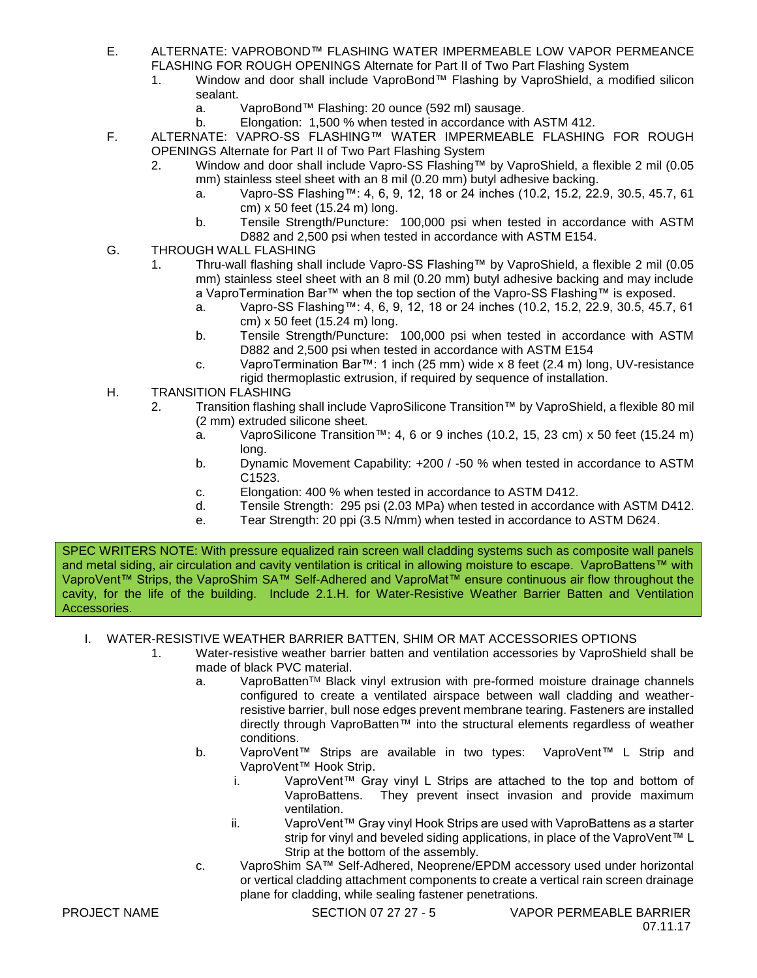- E. ALTERNATE: VAPROBOND™ FLASHING WATER IMPERMEABLE LOW VAPOR PERMEANCE FLASHING FOR ROUGH OPENINGS Alternate for Part II of Two Part Flashing System
	- 1. Window and door shall include VaproBond™ Flashing by VaproShield, a modified silicon sealant.
		- a. VaproBond™ Flashing: 20 ounce (592 ml) sausage.
		- b. Elongation: 1,500 % when tested in accordance with ASTM 412.
- F. ALTERNATE: VAPRO-SS FLASHING™ WATER IMPERMEABLE FLASHING FOR ROUGH OPENINGS Alternate for Part II of Two Part Flashing System
	- 2. Window and door shall include Vapro-SS Flashing™ by VaproShield, a flexible 2 mil (0.05 mm) stainless steel sheet with an 8 mil (0.20 mm) butyl adhesive backing.
		- a. Vapro-SS Flashing™: 4, 6, 9, 12, 18 or 24 inches (10.2, 15.2, 22.9, 30.5, 45.7, 61 cm) x 50 feet (15.24 m) long.
		- b. Tensile Strength/Puncture: 100,000 psi when tested in accordance with ASTM D882 and 2,500 psi when tested in accordance with ASTM E154.
- G. THROUGH WALL FLASHING
	- 1. Thru-wall flashing shall include Vapro-SS Flashing™ by VaproShield, a flexible 2 mil (0.05 mm) stainless steel sheet with an 8 mil (0.20 mm) butyl adhesive backing and may include a VaproTermination Bar™ when the top section of the Vapro-SS Flashing™ is exposed.
		- a. Vapro-SS Flashing™: 4, 6, 9, 12, 18 or 24 inches (10.2, 15.2, 22.9, 30.5, 45.7, 61 cm) x 50 feet (15.24 m) long.
		- b. Tensile Strength/Puncture: 100,000 psi when tested in accordance with ASTM D882 and 2,500 psi when tested in accordance with ASTM E154
		- c. VaproTermination Bar™: 1 inch (25 mm) wide x 8 feet (2.4 m) long, UV-resistance rigid thermoplastic extrusion, if required by sequence of installation.
- H. TRANSITION FLASHING
	- 2. Transition flashing shall include VaproSilicone Transition™ by VaproShield, a flexible 80 mil (2 mm) extruded silicone sheet.
		- a. VaproSilicone Transition™: 4, 6 or 9 inches (10.2, 15, 23 cm) x 50 feet (15.24 m) long.
		- b. Dynamic Movement Capability: +200 / -50 % when tested in accordance to ASTM C1523.
		- c. Elongation: 400 % when tested in accordance to ASTM D412.
		- d. Tensile Strength: 295 psi (2.03 MPa) when tested in accordance with ASTM D412.
		- e. Tear Strength: 20 ppi (3.5 N/mm) when tested in accordance to ASTM D624.

SPEC WRITERS NOTE: With pressure equalized rain screen wall cladding systems such as composite wall panels and metal siding, air circulation and cavity ventilation is critical in allowing moisture to escape. VaproBattens™ with VaproVent™ Strips, the VaproShim SA™ Self-Adhered and VaproMat™ ensure continuous air flow throughout the cavity, for the life of the building. Include 2.1.H. for Water-Resistive Weather Barrier Batten and Ventilation Accessories.

#### I. WATER-RESISTIVE WEATHER BARRIER BATTEN, SHIM OR MAT ACCESSORIES OPTIONS

- 1. Water-resistive weather barrier batten and ventilation accessories by VaproShield shall be made of black PVC material.
	- a. VaproBattenTM Black vinyl extrusion with pre-formed moisture drainage channels configured to create a ventilated airspace between wall cladding and weatherresistive barrier, bull nose edges prevent membrane tearing. Fasteners are installed directly through VaproBatten™ into the structural elements regardless of weather conditions.
	- b. VaproVent™ Strips are available in two types: VaproVent™ L Strip and VaproVent™ Hook Strip.
		- i. VaproVent™ Gray vinyl L Strips are attached to the top and bottom of VaproBattens. They prevent insect invasion and provide maximum ventilation.
		- ii. VaproVent™ Gray vinyl Hook Strips are used with VaproBattens as a starter strip for vinyl and beveled siding applications, in place of the VaproVent™ L Strip at the bottom of the assembly.
	- c. VaproShim SA™ Self-Adhered, Neoprene/EPDM accessory used under horizontal or vertical cladding attachment components to create a vertical rain screen drainage plane for cladding, while sealing fastener penetrations.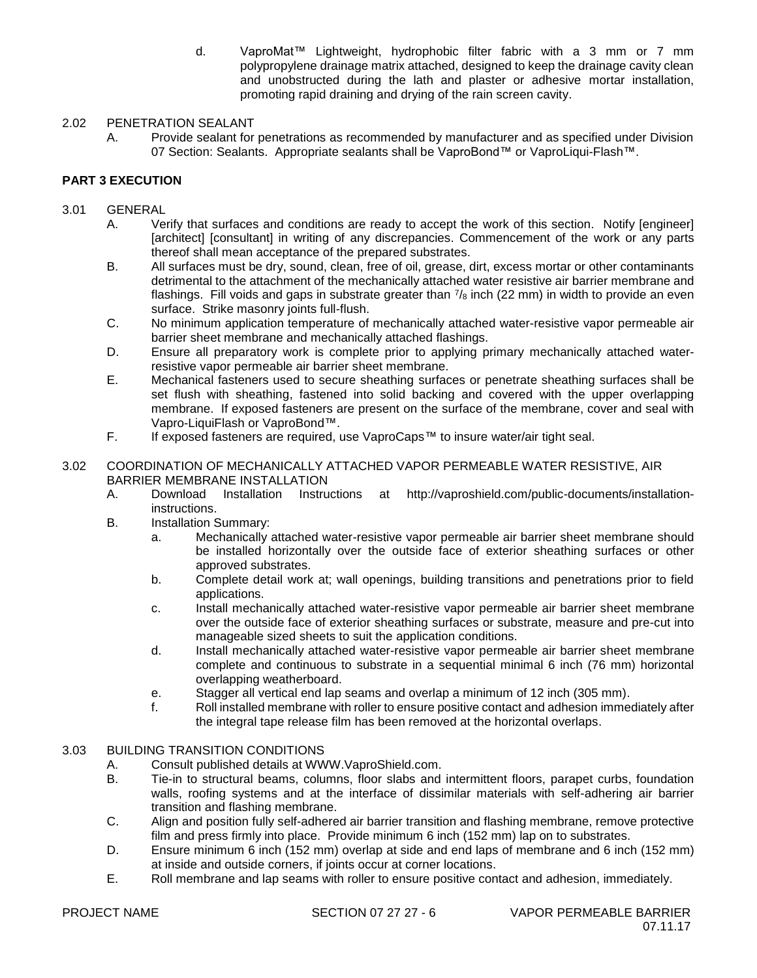d. VaproMat™ Lightweight, hydrophobic filter fabric with a 3 mm or 7 mm polypropylene drainage matrix attached, designed to keep the drainage cavity clean and unobstructed during the lath and plaster or adhesive mortar installation, promoting rapid draining and drying of the rain screen cavity.

#### 2.02 PENETRATION SEALANT

A. Provide sealant for penetrations as recommended by manufacturer and as specified under Division 07 Section: Sealants. Appropriate sealants shall be VaproBond™ or VaproLiqui-Flash™.

## **PART 3 EXECUTION**

- 3.01 GENERAL
	- A. Verify that surfaces and conditions are ready to accept the work of this section. Notify [engineer] [architect] [consultant] in writing of any discrepancies. Commencement of the work or any parts thereof shall mean acceptance of the prepared substrates.
	- B. All surfaces must be dry, sound, clean, free of oil, grease, dirt, excess mortar or other contaminants detrimental to the attachment of the mechanically attached water resistive air barrier membrane and flashings. Fill voids and gaps in substrate greater than  $\frac{7}{8}$  inch (22 mm) in width to provide an even surface. Strike masonry joints full-flush.
	- C. No minimum application temperature of mechanically attached water-resistive vapor permeable air barrier sheet membrane and mechanically attached flashings.
	- D. Ensure all preparatory work is complete prior to applying primary mechanically attached waterresistive vapor permeable air barrier sheet membrane.
	- E. Mechanical fasteners used to secure sheathing surfaces or penetrate sheathing surfaces shall be set flush with sheathing, fastened into solid backing and covered with the upper overlapping membrane. If exposed fasteners are present on the surface of the membrane, cover and seal with Vapro-LiquiFlash or VaproBond™.
	- F. If exposed fasteners are required, use VaproCaps™ to insure water/air tight seal.

#### 3.02 COORDINATION OF MECHANICALLY ATTACHED VAPOR PERMEABLE WATER RESISTIVE, AIR BARRIER MEMBRANE INSTALLATION

- A. Download Installation Instructions at http://vaproshield.com/public-documents/installationinstructions.
- B. Installation Summary:
	- a. Mechanically attached water-resistive vapor permeable air barrier sheet membrane should be installed horizontally over the outside face of exterior sheathing surfaces or other approved substrates.
	- b. Complete detail work at; wall openings, building transitions and penetrations prior to field applications.
	- c. Install mechanically attached water-resistive vapor permeable air barrier sheet membrane over the outside face of exterior sheathing surfaces or substrate, measure and pre-cut into manageable sized sheets to suit the application conditions.
	- d. Install mechanically attached water-resistive vapor permeable air barrier sheet membrane complete and continuous to substrate in a sequential minimal 6 inch (76 mm) horizontal overlapping weatherboard.
	- e. Stagger all vertical end lap seams and overlap a minimum of 12 inch (305 mm).
	- f. Roll installed membrane with roller to ensure positive contact and adhesion immediately after the integral tape release film has been removed at the horizontal overlaps.

### 3.03 BUILDING TRANSITION CONDITIONS

- A. Consult published details at WWW.VaproShield.com.
- B. Tie-in to structural beams, columns, floor slabs and intermittent floors, parapet curbs, foundation walls, roofing systems and at the interface of dissimilar materials with self-adhering air barrier transition and flashing membrane.
- C. Align and position fully self-adhered air barrier transition and flashing membrane, remove protective film and press firmly into place. Provide minimum 6 inch (152 mm) lap on to substrates.
- D. Ensure minimum 6 inch (152 mm) overlap at side and end laps of membrane and 6 inch (152 mm) at inside and outside corners, if joints occur at corner locations.
- E. Roll membrane and lap seams with roller to ensure positive contact and adhesion, immediately.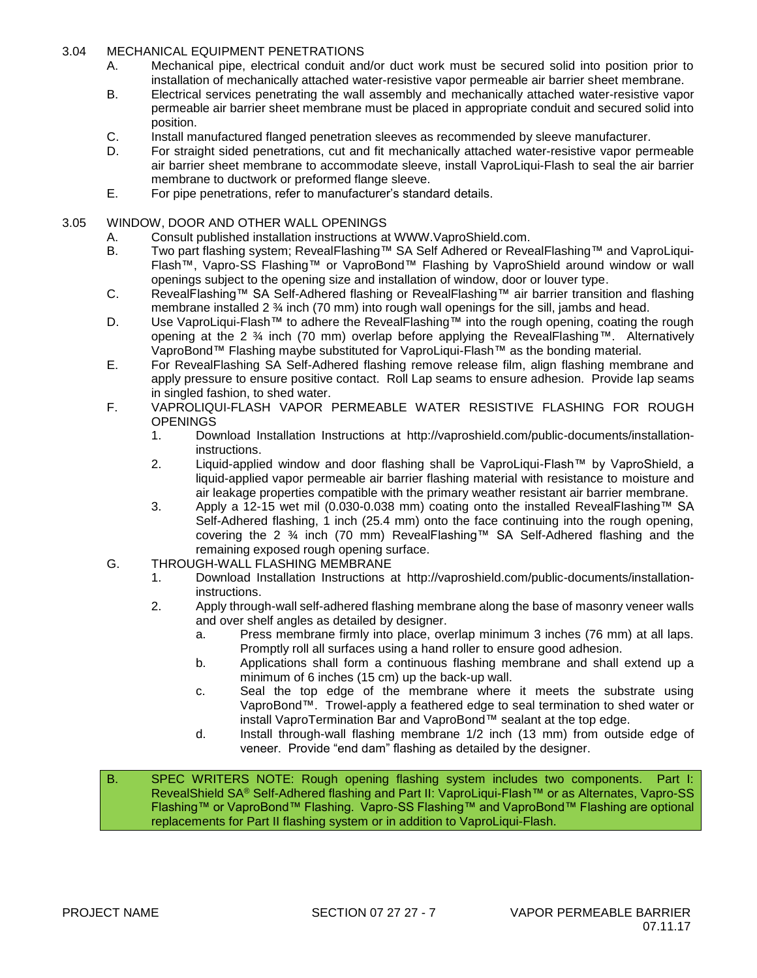#### 3.04 MECHANICAL EQUIPMENT PENETRATIONS

- A. Mechanical pipe, electrical conduit and/or duct work must be secured solid into position prior to installation of mechanically attached water-resistive vapor permeable air barrier sheet membrane.
- B. Electrical services penetrating the wall assembly and mechanically attached water-resistive vapor permeable air barrier sheet membrane must be placed in appropriate conduit and secured solid into position.
- C. Install manufactured flanged penetration sleeves as recommended by sleeve manufacturer.
- D. For straight sided penetrations, cut and fit mechanically attached water-resistive vapor permeable air barrier sheet membrane to accommodate sleeve, install VaproLiqui-Flash to seal the air barrier membrane to ductwork or preformed flange sleeve.
- E. For pipe penetrations, refer to manufacturer's standard details.

#### 3.05 WINDOW, DOOR AND OTHER WALL OPENINGS

- A. Consult published installation instructions at WWW.VaproShield.com.
- B. Two part flashing system; RevealFlashing™ SA Self Adhered or RevealFlashing™ and VaproLiqui-Flash™, Vapro-SS Flashing™ or VaproBond™ Flashing by VaproShield around window or wall openings subject to the opening size and installation of window, door or louver type.
- C. RevealFlashing™ SA Self-Adhered flashing or RevealFlashing™ air barrier transition and flashing membrane installed 2  $\frac{3}{4}$  inch (70 mm) into rough wall openings for the sill, jambs and head.
- D. Use VaproLiqui-Flash™ to adhere the RevealFlashing™ into the rough opening, coating the rough opening at the 2 ¾ inch (70 mm) overlap before applying the RevealFlashing™. Alternatively VaproBond™ Flashing maybe substituted for VaproLiqui-Flash™ as the bonding material.
- E. For RevealFlashing SA Self-Adhered flashing remove release film, align flashing membrane and apply pressure to ensure positive contact. Roll Lap seams to ensure adhesion. Provide lap seams in singled fashion, to shed water.
- F. VAPROLIQUI-FLASH VAPOR PERMEABLE WATER RESISTIVE FLASHING FOR ROUGH **OPENINGS** 
	- 1. Download Installation Instructions at http://vaproshield.com/public-documents/installationinstructions.
	- 2. Liquid-applied window and door flashing shall be VaproLiqui-Flash™ by VaproShield, a liquid-applied vapor permeable air barrier flashing material with resistance to moisture and air leakage properties compatible with the primary weather resistant air barrier membrane.
	- 3. Apply a 12-15 wet mil (0.030-0.038 mm) coating onto the installed RevealFlashing™ SA Self-Adhered flashing, 1 inch (25.4 mm) onto the face continuing into the rough opening, covering the 2 ¾ inch (70 mm) RevealFlashing™ SA Self-Adhered flashing and the remaining exposed rough opening surface.
- G. THROUGH-WALL FLASHING MEMBRANE
	- 1. Download Installation Instructions at http://vaproshield.com/public-documents/installationinstructions.
	- 2. Apply through-wall self-adhered flashing membrane along the base of masonry veneer walls and over shelf angles as detailed by designer.
		- a. Press membrane firmly into place, overlap minimum 3 inches (76 mm) at all laps. Promptly roll all surfaces using a hand roller to ensure good adhesion.
		- b. Applications shall form a continuous flashing membrane and shall extend up a minimum of 6 inches (15 cm) up the back-up wall.
		- c. Seal the top edge of the membrane where it meets the substrate using VaproBond™. Trowel-apply a feathered edge to seal termination to shed water or install VaproTermination Bar and VaproBond™ sealant at the top edge.
		- d. Install through-wall flashing membrane 1/2 inch (13 mm) from outside edge of veneer. Provide "end dam" flashing as detailed by the designer.

B. SPEC WRITERS NOTE: Rough opening flashing system includes two components. Part I: RevealShield SA® Self-Adhered flashing and Part II: VaproLiqui-Flash™ or as Alternates, Vapro-SS Flashing™ or VaproBond™ Flashing. Vapro-SS Flashing™ and VaproBond™ Flashing are optional replacements for Part II flashing system or in addition to VaproLiqui-Flash.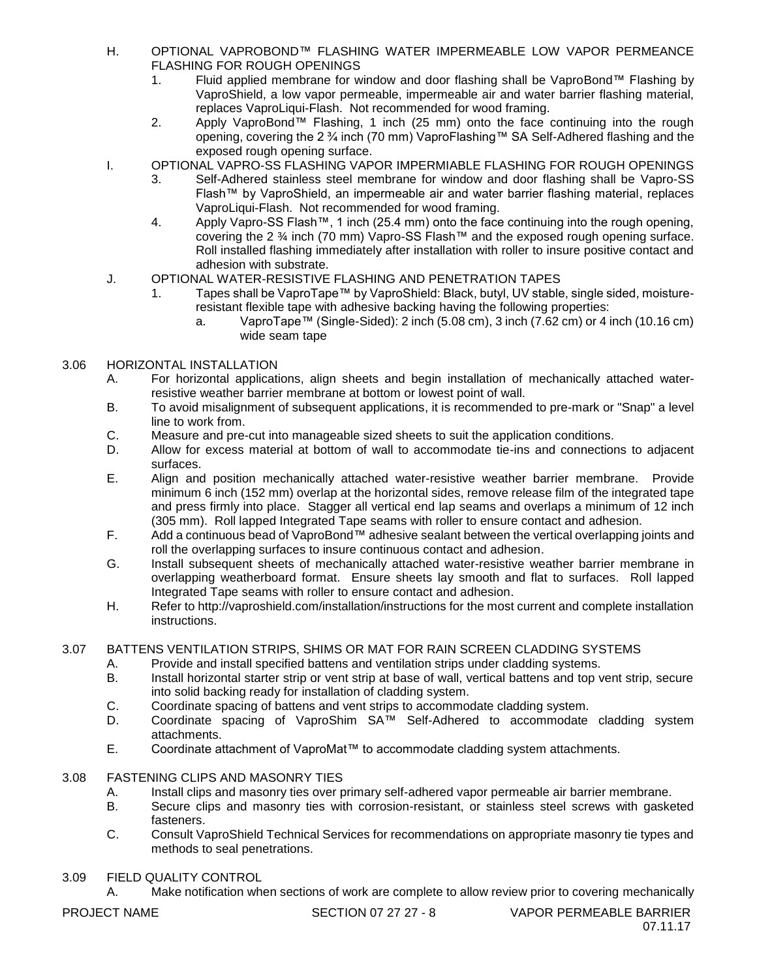- H. OPTIONAL VAPROBOND™ FLASHING WATER IMPERMEABLE LOW VAPOR PERMEANCE FLASHING FOR ROUGH OPENINGS
	- 1. Fluid applied membrane for window and door flashing shall be VaproBond™ Flashing by VaproShield, a low vapor permeable, impermeable air and water barrier flashing material, replaces VaproLiqui-Flash. Not recommended for wood framing.
	- 2. Apply VaproBond™ Flashing, 1 inch (25 mm) onto the face continuing into the rough opening, covering the 2 ¾ inch (70 mm) VaproFlashing™ SA Self-Adhered flashing and the exposed rough opening surface.
- I. OPTIONAL VAPRO-SS FLASHING VAPOR IMPERMIABLE FLASHING FOR ROUGH OPENINGS
	- 3. Self-Adhered stainless steel membrane for window and door flashing shall be Vapro-SS Flash™ by VaproShield, an impermeable air and water barrier flashing material, replaces VaproLiqui-Flash. Not recommended for wood framing.
	- 4. Apply Vapro-SS Flash™, 1 inch (25.4 mm) onto the face continuing into the rough opening, covering the 2 ¾ inch (70 mm) Vapro-SS Flash™ and the exposed rough opening surface. Roll installed flashing immediately after installation with roller to insure positive contact and adhesion with substrate.

## J. OPTIONAL WATER-RESISTIVE FLASHING AND PENETRATION TAPES

- 1. Tapes shall be VaproTape™ by VaproShield: Black, butyl, UV stable, single sided, moistureresistant flexible tape with adhesive backing having the following properties:
	- a. VaproTape™ (Single-Sided): 2 inch (5.08 cm), 3 inch (7.62 cm) or 4 inch (10.16 cm) wide seam tape

### 3.06 HORIZONTAL INSTALLATION

- A. For horizontal applications, align sheets and begin installation of mechanically attached waterresistive weather barrier membrane at bottom or lowest point of wall.
- B. To avoid misalignment of subsequent applications, it is recommended to pre-mark or "Snap" a level line to work from.
- C. Measure and pre-cut into manageable sized sheets to suit the application conditions.
- D. Allow for excess material at bottom of wall to accommodate tie-ins and connections to adjacent surfaces.
- E. Align and position mechanically attached water-resistive weather barrier membrane. Provide minimum 6 inch (152 mm) overlap at the horizontal sides, remove release film of the integrated tape and press firmly into place. Stagger all vertical end lap seams and overlaps a minimum of 12 inch (305 mm). Roll lapped Integrated Tape seams with roller to ensure contact and adhesion.
- F. Add a continuous bead of VaproBond™ adhesive sealant between the vertical overlapping joints and roll the overlapping surfaces to insure continuous contact and adhesion.
- G. Install subsequent sheets of mechanically attached water-resistive weather barrier membrane in overlapping weatherboard format. Ensure sheets lay smooth and flat to surfaces. Roll lapped Integrated Tape seams with roller to ensure contact and adhesion.
- H. Refer to http://vaproshield.com/installation/instructions for the most current and complete installation instructions.

## 3.07 BATTENS VENTILATION STRIPS, SHIMS OR MAT FOR RAIN SCREEN CLADDING SYSTEMS

- A. Provide and install specified battens and ventilation strips under cladding systems.
- B. Install horizontal starter strip or vent strip at base of wall, vertical battens and top vent strip, secure into solid backing ready for installation of cladding system.
- C. Coordinate spacing of battens and vent strips to accommodate cladding system.
- D. Coordinate spacing of VaproShim SA<sup>™</sup> Self-Adhered to accommodate cladding system attachments.
- E. Coordinate attachment of VaproMat™ to accommodate cladding system attachments.

### 3.08 FASTENING CLIPS AND MASONRY TIES

- A. Install clips and masonry ties over primary self-adhered vapor permeable air barrier membrane.
- B. Secure clips and masonry ties with corrosion-resistant, or stainless steel screws with gasketed fasteners.
- C. Consult VaproShield Technical Services for recommendations on appropriate masonry tie types and methods to seal penetrations.

### 3.09 FIELD QUALITY CONTROL

A. Make notification when sections of work are complete to allow review prior to covering mechanically